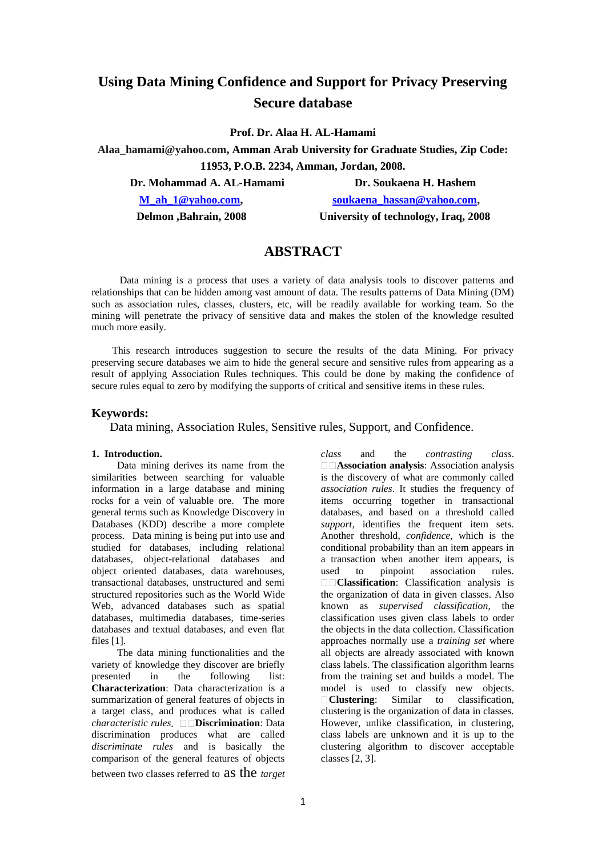# **Using Data Mining Confidence and Support for Privacy Preserving Secure database**

**Prof. Dr. Alaa H. AL-Hamami**

**Alaa\_hamami@yahoo.com, Amman Arab University for Graduate Studies, Zip Code: 11953, P.O.B. 2234, Amman, Jordan, 2008.**

**Dr. Mohammad A. AL-Hamami Dr. Soukaena H. Hashem** 

**[M\\_ah\\_1@yahoo.com,](mailto:M_ah_1@yahoo.com)**<br> **Soukaena\_hassan@yahoo.com,** 

 **Delmon ,Bahrain, 2008 University of technology, Iraq, 2008**

## **ABSTRACT**

 Data mining is a process that uses a variety of data analysis tools to discover patterns and relationships that can be hidden among vast amount of data. The results patterns of Data Mining (DM) such as association rules, classes, clusters, etc, will be readily available for working team. So the mining will penetrate the privacy of sensitive data and makes the stolen of the knowledge resulted much more easily.

 This research introduces suggestion to secure the results of the data Mining. For privacy preserving secure databases we aim to hide the general secure and sensitive rules from appearing as a result of applying Association Rules techniques. This could be done by making the confidence of secure rules equal to zero by modifying the supports of critical and sensitive items in these rules.

#### **Keywords:**

Data mining, Association Rules, Sensitive rules, Support, and Confidence.

### **1. Introduction.**

 Data mining derives its name from the similarities between searching for valuable information in a large database and mining rocks for a vein of valuable ore. The more general terms such as Knowledge Discovery in Databases (KDD) describe a more complete process. Data mining is being put into use and studied for databases, including relational databases, object-relational databases and object oriented databases, data warehouses, transactional databases, unstructured and semi structured repositories such as the World Wide Web, advanced databases such as spatial databases, multimedia databases, time-series databases and textual databases, and even flat files [1].

 The data mining functionalities and the variety of knowledge they discover are briefly presented in the following list: **Characterization**: Data characterization is a summarization of general features of objects in a target class, and produces what is called *characteristic rules* **Discrimination**: Data discrimination produces what are called *discriminate rules* and is basically the comparison of the general features of objects between two classes referred to as the *target* 

*class* and the *contrasting class*. **Association analysis**: Association analysis is the discovery of what are commonly called *association rules*. It studies the frequency of items occurring together in transactional databases, and based on a threshold called *support*, identifies the frequent item sets. Another threshold, *confidence*, which is the conditional probability than an item appears in a transaction when another item appears, is used to pinpoint association rules. **Classification**: Classification analysis is the organization of data in given classes. Also known as *supervised classification*, the classification uses given class labels to order the objects in the data collection. Classification approaches normally use a *training set* where all objects are already associated with known class labels. The classification algorithm learns from the training set and builds a model. The model is used to classify new objects. **Clustering**: Similar to classification, clustering is the organization of data in classes. However, unlike classification, in clustering, class labels are unknown and it is up to the clustering algorithm to discover acceptable classes [2, 3].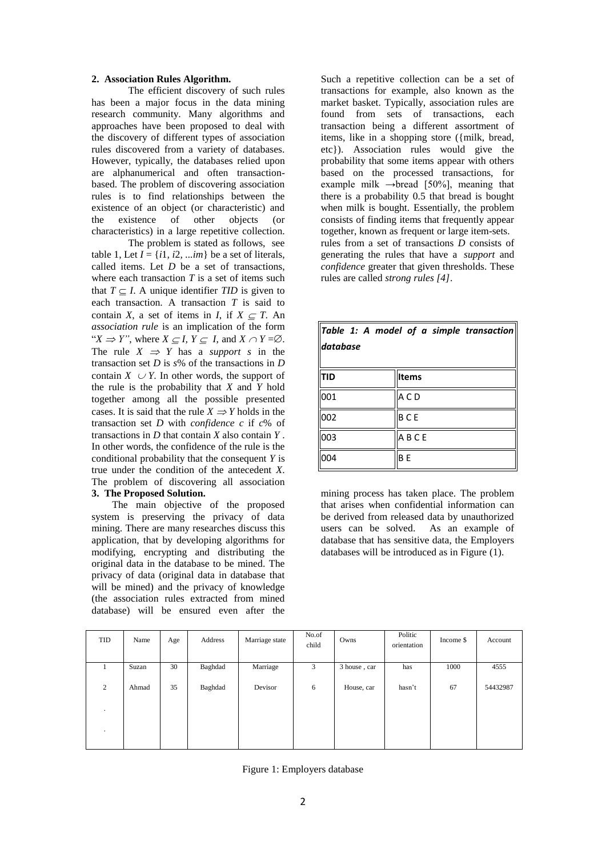#### **2. Association Rules Algorithm.**

The efficient discovery of such rules has been a major focus in the data mining research community. Many algorithms and approaches have been proposed to deal with the discovery of different types of association rules discovered from a variety of databases. However, typically, the databases relied upon are alphanumerical and often transactionbased. The problem of discovering association rules is to find relationships between the existence of an object (or characteristic) and the existence of other objects (or characteristics) in a large repetitive collection.

The problem is stated as follows, see table 1, Let  $I = \{i1, i2, \ldots \infty\}$  be a set of literals, called items. Let *D* be a set of transactions, where each transaction *T* is a set of items such that  $T \subset I$ . A unique identifier *TID* is given to each transaction. A transaction *T* is said to contain *X*, a set of items in *I*, if  $X \subset T$ . An *association rule* is an implication of the form " $X \Rightarrow Y$ ", where  $X \subseteq I$ ,  $Y \subseteq I$ , and  $X \cap Y = \emptyset$ . The rule  $X \implies Y$  has a *support s* in the transaction set *D* is *s*% of the transactions in *D*  contain  $X \cup Y$ . In other words, the support of the rule is the probability that *X* and *Y* hold together among all the possible presented cases. It is said that the rule  $X \Rightarrow Y$  holds in the transaction set *D* with *confidence c* if *c*% of transactions in *D* that contain *X* also contain *Y* . In other words, the confidence of the rule is the conditional probability that the consequent *Y* is true under the condition of the antecedent *X*. The problem of discovering all association **3. The Proposed Solution.**

 The main objective of the proposed system is preserving the privacy of data mining. There are many researches discuss this application, that by developing algorithms for modifying, encrypting and distributing the original data in the database to be mined. The privacy of data (original data in database that will be mined) and the privacy of knowledge (the association rules extracted from mined database) will be ensured even after the

Such a repetitive collection can be a set of transactions for example, also known as the market basket. Typically, association rules are found from sets of transactions, each transaction being a different assortment of items, like in a shopping store ({milk, bread, etc}). Association rules would give the probability that some items appear with others based on the processed transactions, for example milk  $\rightarrow$ bread [50%], meaning that there is a probability  $0.5$  that bread is bought when milk is bought. Essentially, the problem consists of finding items that frequently appear together, known as frequent or large item-sets. rules from a set of transactions *D* consists of generating the rules that have a *support* and *confidence* greater that given thresholds. These rules are called *strong rules [4]*.

| Table 1: A model of a simple transaction<br>database |                |  |  |  |  |  |
|------------------------------------------------------|----------------|--|--|--|--|--|
| <b>TID</b>                                           | <b>Items</b>   |  |  |  |  |  |
| 001                                                  | ACD            |  |  |  |  |  |
| 002                                                  | <b>BCE</b>     |  |  |  |  |  |
| 003                                                  | ABCE           |  |  |  |  |  |
| 004                                                  | B <sub>E</sub> |  |  |  |  |  |

mining process has taken place. The problem that arises when confidential information can be derived from released data by unauthorized users can be solved. As an example of database that has sensitive data, the Employers databases will be introduced as in Figure (1).

| <b>TID</b>     | Name  | Age | Address | Marriage state | No.of<br>child | Owns         | Politic<br>orientation | Income \$ | Account  |
|----------------|-------|-----|---------|----------------|----------------|--------------|------------------------|-----------|----------|
|                | Suzan | 30  | Baghdad | Marriage       | 3              | 3 house, car | has                    | 1000      | 4555     |
| $\overline{2}$ | Ahmad | 35  | Baghdad | Devisor        | 6              | House, car   | hasn't                 | 67        | 54432987 |
| $\cdot$        |       |     |         |                |                |              |                        |           |          |
| $\cdot$        |       |     |         |                |                |              |                        |           |          |

Figure 1: Employers database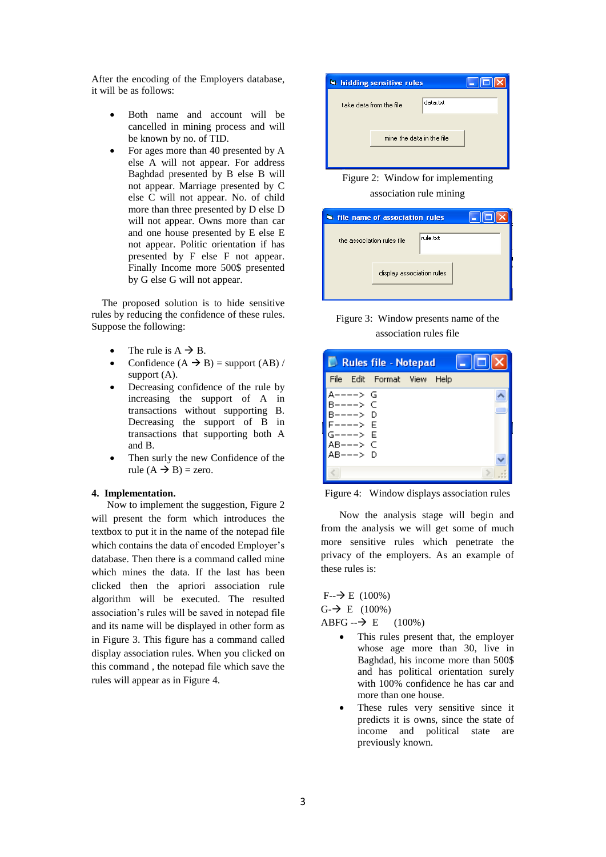After the encoding of the Employers database, it will be as follows:

- Both name and account will be cancelled in mining process and will be known by no. of TID.
- For ages more than 40 presented by A else A will not appear. For address Baghdad presented by B else B will not appear. Marriage presented by C else C will not appear. No. of child more than three presented by D else D will not appear. Owns more than car and one house presented by E else E not appear. Politic orientation if has presented by F else F not appear. Finally Income more 500\$ presented by G else G will not appear.

 The proposed solution is to hide sensitive rules by reducing the confidence of these rules. Suppose the following:

- The rule is  $A \rightarrow B$ .
- Confidence  $(A \rightarrow B)$  = support  $(AB)$  / support  $(A)$ .
- Decreasing confidence of the rule by increasing the support of A in transactions without supporting B. Decreasing the support of B in transactions that supporting both A and B.
- Then surly the new Confidence of the rule  $(A \rightarrow B)$  = zero.

#### **4. Implementation.**

 Now to implement the suggestion, Figure 2 will present the form which introduces the textbox to put it in the name of the notepad file which contains the data of encoded Employer's database. Then there is a command called mine which mines the data. If the last has been clicked then the apriori association rule algorithm will be executed. The resulted association's rules will be saved in notepad file and its name will be displayed in other form as in Figure 3. This figure has a command called display association rules. When you clicked on this command , the notepad file which save the rules will appear as in Figure 4.



Figure 2: Window for implementing association rule mining

| <b>Statistic file name of association rules</b> |                           |          |  |
|-------------------------------------------------|---------------------------|----------|--|
| the association rules file                      |                           | rule.txt |  |
|                                                 | display association rules |          |  |
|                                                 |                           |          |  |



| Rules file - Notepad |                           |                         |  |      |  |
|----------------------|---------------------------|-------------------------|--|------|--|
| File                 |                           | Edit Format View        |  | Help |  |
|                      | -––> G<br>--> C<br>---> D | ×С<br>- D<br>- F<br>> F |  |      |  |
|                      |                           |                         |  |      |  |

Figure 4: Window displays association rules

 Now the analysis stage will begin and from the analysis we will get some of much more sensitive rules which penetrate the privacy of the employers. As an example of these rules is:

 $F - \rightarrow E (100\%)$  $G - \rightarrow E$  (100%)  $ABFG - \rightarrow E$  (100%)

- This rules present that, the employer whose age more than 30, live in Baghdad, his income more than 500\$ and has political orientation surely with 100% confidence he has car and more than one house.
- These rules very sensitive since it predicts it is owns, since the state of income and political state are previously known.